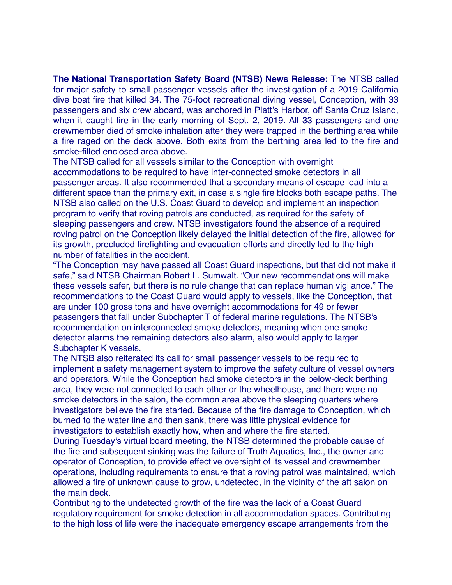**The National Transportation Safety Board (NTSB) News Release:** The NTSB called for major safety to small passenger vessels after the investigation of a 2019 California dive boat fire that killed 34. The 75-foot recreational diving vessel, Conception, with 33 passengers and six crew aboard, was anchored in Platt's Harbor, off Santa Cruz Island, when it caught fire in the early morning of Sept. 2, 2019. All 33 passengers and one crewmember died of smoke inhalation after they were trapped in the berthing area while a fire raged on the deck above. Both exits from the berthing area led to the fire and smoke-filled enclosed area above.

The NTSB called for all vessels similar to the Conception with overnight accommodations to be required to have inter-connected smoke detectors in all passenger areas. It also recommended that a secondary means of escape lead into a different space than the primary exit, in case a single fire blocks both escape paths. The NTSB also called on the U.S. Coast Guard to develop and implement an inspection program to verify that roving patrols are conducted, as required for the safety of sleeping passengers and crew. NTSB investigators found the absence of a required roving patrol on the Conception likely delayed the initial detection of the fire, allowed for its growth, precluded firefighting and evacuation efforts and directly led to the high number of fatalities in the accident.

"The Conception may have passed all Coast Guard inspections, but that did not make it safe," said NTSB Chairman Robert L. Sumwalt. "Our new recommendations will make these vessels safer, but there is no rule change that can replace human vigilance." The recommendations to the Coast Guard would apply to vessels, like the Conception, that are under 100 gross tons and have overnight accommodations for 49 or fewer passengers that fall under Subchapter T of federal marine regulations. The NTSB's recommendation on interconnected smoke detectors, meaning when one smoke detector alarms the remaining detectors also alarm, also would apply to larger Subchapter K vessels.

The NTSB also reiterated its call for small passenger vessels to be required to implement a safety management system to improve the safety culture of vessel owners and operators. While the Conception had smoke detectors in the below-deck berthing area, they were not connected to each other or the wheelhouse, and there were no smoke detectors in the salon, the common area above the sleeping quarters where investigators believe the fire started. Because of the fire damage to Conception, which burned to the water line and then sank, there was little physical evidence for investigators to establish exactly how, when and where the fire started.

During Tuesday's virtual board meeting, the NTSB determined the probable cause of the fire and subsequent sinking was the failure of Truth Aquatics, Inc., the owner and operator of Conception, to provide effective oversight of its vessel and crewmember operations, including requirements to ensure that a roving patrol was maintained, which allowed a fire of unknown cause to grow, undetected, in the vicinity of the aft salon on the main deck.

Contributing to the undetected growth of the fire was the lack of a Coast Guard regulatory requirement for smoke detection in all accommodation spaces. Contributing to the high loss of life were the inadequate emergency escape arrangements from the